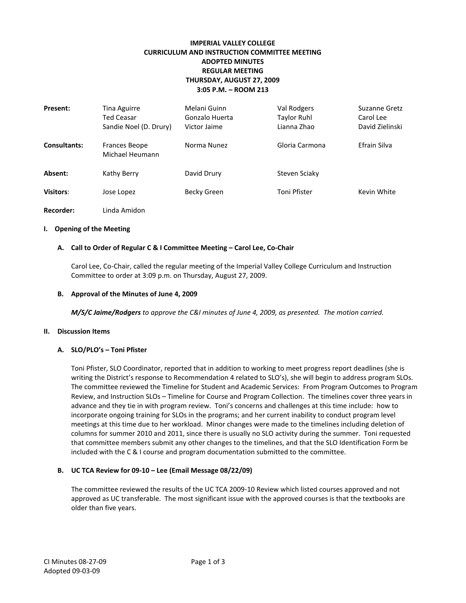# **IMPERIAL VALLEY COLLEGE CURRICULUM AND INSTRUCTION COMMITTEE MEETING ADOPTED MINUTES REGULAR MEETING THURSDAY, AUGUST 27, 2009 3:05 P.M. – ROOM 213**

| <b>Present:</b>     | Tina Aguirre<br><b>Ted Ceasar</b><br>Sandie Noel (D. Drury) | Melani Guinn<br>Gonzalo Huerta<br>Victor Jaime | Val Rodgers<br><b>Taylor Ruhl</b><br>Lianna Zhao | Suzanne Gretz<br>Carol Lee<br>David Zielinski |
|---------------------|-------------------------------------------------------------|------------------------------------------------|--------------------------------------------------|-----------------------------------------------|
| <b>Consultants:</b> | Frances Beope<br>Michael Heumann                            | Norma Nunez                                    | Gloria Carmona                                   | Efrain Silva                                  |
| Absent:             | Kathy Berry                                                 | David Drury                                    | Steven Sciaky                                    |                                               |
| <b>Visitors:</b>    | Jose Lopez                                                  | Becky Green                                    | Toni Pfister                                     | Kevin White                                   |
| <b>Recorder:</b>    | Linda Amidon                                                |                                                |                                                  |                                               |

#### **I. Opening of the Meeting**

#### **A. Call to Order of Regular C & I Committee Meeting – Carol Lee, Co-Chair**

Carol Lee, Co-Chair, called the regular meeting of the Imperial Valley College Curriculum and Instruction Committee to order at 3:09 p.m. on Thursday, August 27, 2009.

#### **B. Approval of the Minutes of June 4, 2009**

*M/S/C Jaime/Rodgers to approve the C&I minutes of June 4, 2009, as presented. The motion carried.*

#### **II. Discussion Items**

#### **A. SLO/PLO's – Toni Pfister**

Toni Pfister, SLO Coordinator, reported that in addition to working to meet progress report deadlines (she is writing the District's response to Recommendation 4 related to SLO's), she will begin to address program SLOs. The committee reviewed the Timeline for Student and Academic Services: From Program Outcomes to Program Review, and Instruction SLOs – Timeline for Course and Program Collection. The timelines cover three years in advance and they tie in with program review. Toni's concerns and challenges at this time include: how to incorporate ongoing training for SLOs in the programs; and her current inability to conduct program level meetings at this time due to her workload. Minor changes were made to the timelines including deletion of columns for summer 2010 and 2011, since there is usually no SLO activity during the summer. Toni requested that committee members submit any other changes to the timelines, and that the SLO Identification Form be included with the C & I course and program documentation submitted to the committee.

#### **B. UC TCA Review for 09-10 – Lee (Email Message 08/22/09)**

The committee reviewed the results of the UC TCA 2009-10 Review which listed courses approved and not approved as UC transferable. The most significant issue with the approved courses is that the textbooks are older than five years.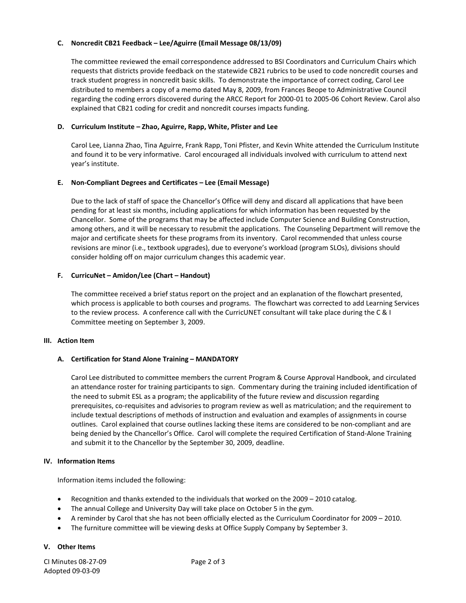## **C. Noncredit CB21 Feedback – Lee/Aguirre (Email Message 08/13/09)**

The committee reviewed the email correspondence addressed to BSI Coordinators and Curriculum Chairs which requests that districts provide feedback on the statewide CB21 rubrics to be used to code noncredit courses and track student progress in noncredit basic skills. To demonstrate the importance of correct coding, Carol Lee distributed to members a copy of a memo dated May 8, 2009, from Frances Beope to Administrative Council regarding the coding errors discovered during the ARCC Report for 2000-01 to 2005-06 Cohort Review. Carol also explained that CB21 coding for credit and noncredit courses impacts funding.

## **D. Curriculum Institute – Zhao, Aguirre, Rapp, White, Pfister and Lee**

Carol Lee, Lianna Zhao, Tina Aguirre, Frank Rapp, Toni Pfister, and Kevin White attended the Curriculum Institute and found it to be very informative. Carol encouraged all individuals involved with curriculum to attend next year's institute.

## **E. Non-Compliant Degrees and Certificates – Lee (Email Message)**

Due to the lack of staff of space the Chancellor's Office will deny and discard all applications that have been pending for at least six months, including applications for which information has been requested by the Chancellor. Some of the programs that may be affected include Computer Science and Building Construction, among others, and it will be necessary to resubmit the applications. The Counseling Department will remove the major and certificate sheets for these programs from its inventory. Carol recommended that unless course revisions are minor (i.e., textbook upgrades), due to everyone's workload (program SLOs), divisions should consider holding off on major curriculum changes this academic year.

## **F. CurricuNet – Amidon/Lee (Chart – Handout)**

The committee received a brief status report on the project and an explanation of the flowchart presented, which process is applicable to both courses and programs. The flowchart was corrected to add Learning Services to the review process. A conference call with the CurricUNET consultant will take place during the C & I Committee meeting on September 3, 2009.

### **III. Action Item**

# **A. Certification for Stand Alone Training – MANDATORY**

Carol Lee distributed to committee members the current Program & Course Approval Handbook, and circulated an attendance roster for training participants to sign. Commentary during the training included identification of the need to submit ESL as a program; the applicability of the future review and discussion regarding prerequisites, co-requisites and advisories to program review as well as matriculation; and the requirement to include textual descriptions of methods of instruction and evaluation and examples of assignments in course outlines. Carol explained that course outlines lacking these items are considered to be non-compliant and are being denied by the Chancellor's Office. Carol will complete the required Certification of Stand-Alone Training and submit it to the Chancellor by the September 30, 2009, deadline.

### **IV. Information Items**

Information items included the following:

- Recognition and thanks extended to the individuals that worked on the 2009 2010 catalog.
- The annual College and University Day will take place on October 5 in the gym.
- A reminder by Carol that she has not been officially elected as the Curriculum Coordinator for 2009 2010.
- The furniture committee will be viewing desks at Office Supply Company by September 3.

### **V. Other Items**

CI Minutes 08-27-09 Page 2 of 3 Adopted 09-03-09